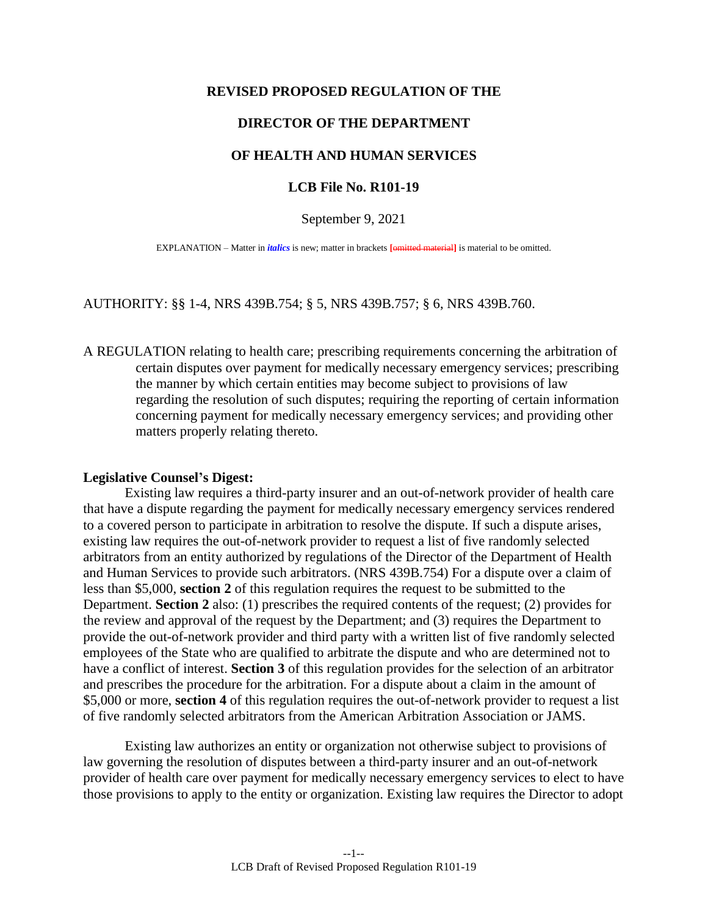### **REVISED PROPOSED REGULATION OF THE**

# **DIRECTOR OF THE DEPARTMENT**

# **OF HEALTH AND HUMAN SERVICES**

### **LCB File No. R101-19**

September 9, 2021

EXPLANATION – Matter in *italics* is new; matter in brackets **[**omitted material**]** is material to be omitted.

AUTHORITY: §§ 1-4, NRS 439B.754; § 5, NRS 439B.757; § 6, NRS 439B.760.

A REGULATION relating to health care; prescribing requirements concerning the arbitration of certain disputes over payment for medically necessary emergency services; prescribing the manner by which certain entities may become subject to provisions of law regarding the resolution of such disputes; requiring the reporting of certain information concerning payment for medically necessary emergency services; and providing other matters properly relating thereto.

#### **Legislative Counsel's Digest:**

Existing law requires a third-party insurer and an out-of-network provider of health care that have a dispute regarding the payment for medically necessary emergency services rendered to a covered person to participate in arbitration to resolve the dispute. If such a dispute arises, existing law requires the out-of-network provider to request a list of five randomly selected arbitrators from an entity authorized by regulations of the Director of the Department of Health and Human Services to provide such arbitrators. (NRS 439B.754) For a dispute over a claim of less than \$5,000, **section 2** of this regulation requires the request to be submitted to the Department. **Section 2** also: (1) prescribes the required contents of the request; (2) provides for the review and approval of the request by the Department; and (3) requires the Department to provide the out-of-network provider and third party with a written list of five randomly selected employees of the State who are qualified to arbitrate the dispute and who are determined not to have a conflict of interest. **Section 3** of this regulation provides for the selection of an arbitrator and prescribes the procedure for the arbitration. For a dispute about a claim in the amount of \$5,000 or more, **section 4** of this regulation requires the out-of-network provider to request a list of five randomly selected arbitrators from the American Arbitration Association or JAMS.

Existing law authorizes an entity or organization not otherwise subject to provisions of law governing the resolution of disputes between a third-party insurer and an out-of-network provider of health care over payment for medically necessary emergency services to elect to have those provisions to apply to the entity or organization. Existing law requires the Director to adopt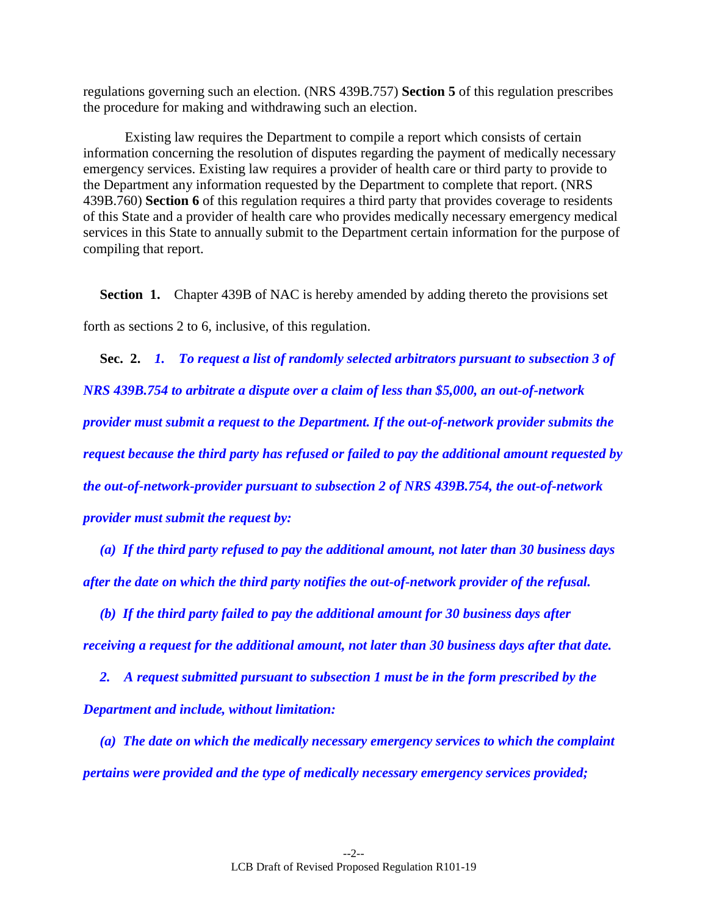regulations governing such an election. (NRS 439B.757) **Section 5** of this regulation prescribes the procedure for making and withdrawing such an election.

Existing law requires the Department to compile a report which consists of certain information concerning the resolution of disputes regarding the payment of medically necessary emergency services. Existing law requires a provider of health care or third party to provide to the Department any information requested by the Department to complete that report. (NRS 439B.760) **Section 6** of this regulation requires a third party that provides coverage to residents of this State and a provider of health care who provides medically necessary emergency medical services in this State to annually submit to the Department certain information for the purpose of compiling that report.

**Section 1.** Chapter 439B of NAC is hereby amended by adding thereto the provisions set forth as sections 2 to 6, inclusive, of this regulation.

**Sec. 2.** *1. To request a list of randomly selected arbitrators pursuant to subsection 3 of NRS 439B.754 to arbitrate a dispute over a claim of less than \$5,000, an out-of-network provider must submit a request to the Department. If the out-of-network provider submits the request because the third party has refused or failed to pay the additional amount requested by the out-of-network-provider pursuant to subsection 2 of NRS 439B.754, the out-of-network provider must submit the request by:*

*(a) If the third party refused to pay the additional amount, not later than 30 business days after the date on which the third party notifies the out-of-network provider of the refusal.*

*(b) If the third party failed to pay the additional amount for 30 business days after receiving a request for the additional amount, not later than 30 business days after that date.*

*2. A request submitted pursuant to subsection 1 must be in the form prescribed by the Department and include, without limitation:*

*(a) The date on which the medically necessary emergency services to which the complaint pertains were provided and the type of medically necessary emergency services provided;*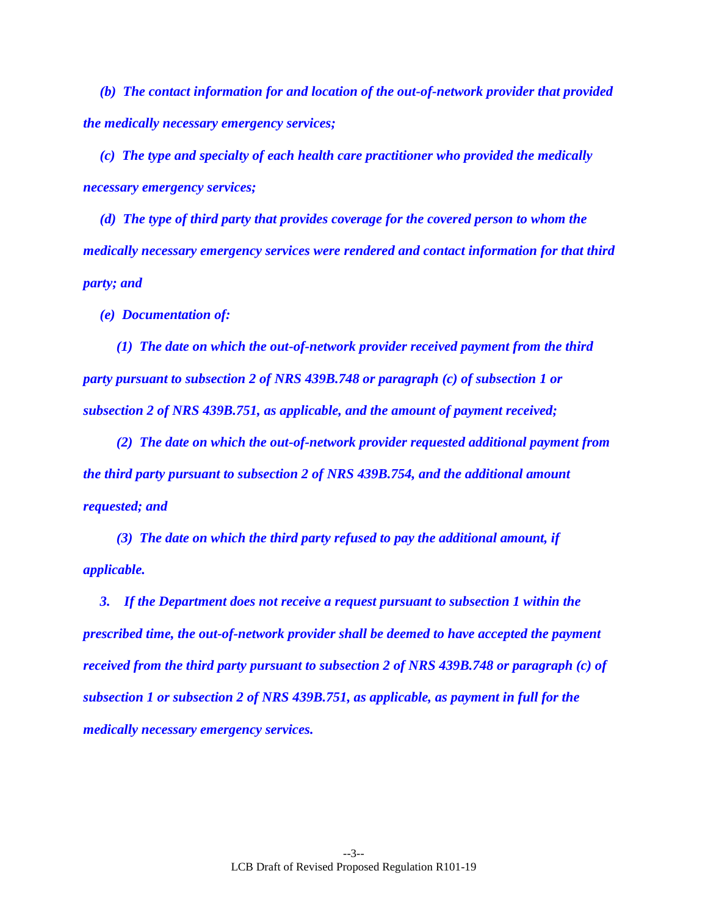*(b) The contact information for and location of the out-of-network provider that provided the medically necessary emergency services;*

*(c) The type and specialty of each health care practitioner who provided the medically necessary emergency services;*

*(d) The type of third party that provides coverage for the covered person to whom the medically necessary emergency services were rendered and contact information for that third party; and*

*(e) Documentation of:*

*(1) The date on which the out-of-network provider received payment from the third party pursuant to subsection 2 of NRS 439B.748 or paragraph (c) of subsection 1 or subsection 2 of NRS 439B.751, as applicable, and the amount of payment received;*

*(2) The date on which the out-of-network provider requested additional payment from the third party pursuant to subsection 2 of NRS 439B.754, and the additional amount requested; and*

*(3) The date on which the third party refused to pay the additional amount, if applicable.*

*3. If the Department does not receive a request pursuant to subsection 1 within the prescribed time, the out-of-network provider shall be deemed to have accepted the payment received from the third party pursuant to subsection 2 of NRS 439B.748 or paragraph (c) of subsection 1 or subsection 2 of NRS 439B.751, as applicable, as payment in full for the medically necessary emergency services.*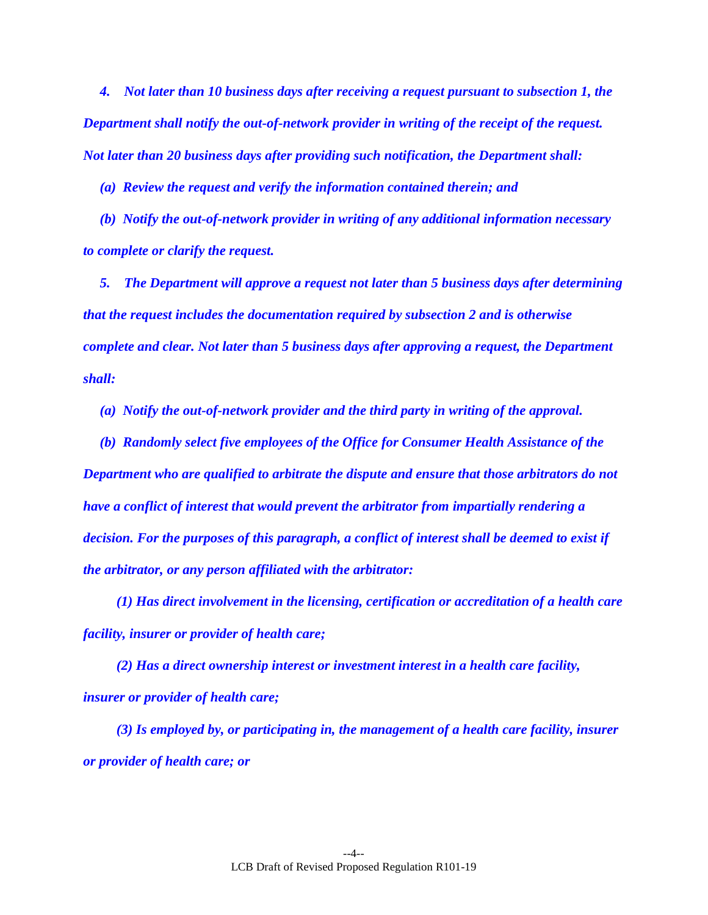*4. Not later than 10 business days after receiving a request pursuant to subsection 1, the Department shall notify the out-of-network provider in writing of the receipt of the request. Not later than 20 business days after providing such notification, the Department shall:*

*(a) Review the request and verify the information contained therein; and*

*(b) Notify the out-of-network provider in writing of any additional information necessary to complete or clarify the request.*

*5. The Department will approve a request not later than 5 business days after determining that the request includes the documentation required by subsection 2 and is otherwise complete and clear. Not later than 5 business days after approving a request, the Department shall:*

*(a) Notify the out-of-network provider and the third party in writing of the approval.*

*(b) Randomly select five employees of the Office for Consumer Health Assistance of the Department who are qualified to arbitrate the dispute and ensure that those arbitrators do not have a conflict of interest that would prevent the arbitrator from impartially rendering a decision. For the purposes of this paragraph, a conflict of interest shall be deemed to exist if the arbitrator, or any person affiliated with the arbitrator:*

*(1) Has direct involvement in the licensing, certification or accreditation of a health care facility, insurer or provider of health care;*

*(2) Has a direct ownership interest or investment interest in a health care facility, insurer or provider of health care;*

*(3) Is employed by, or participating in, the management of a health care facility, insurer or provider of health care; or*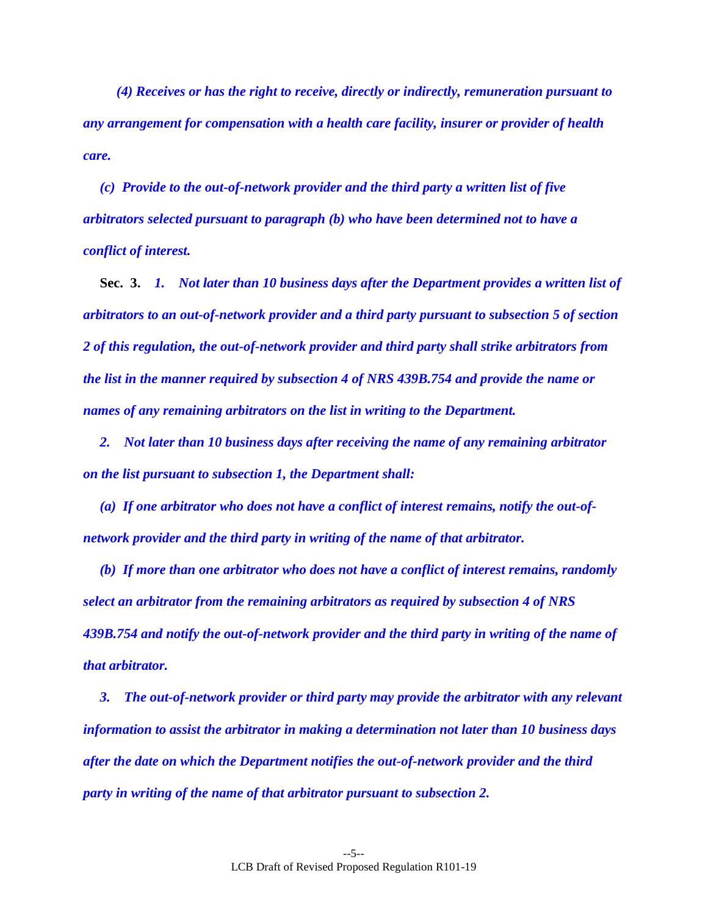*(4) Receives or has the right to receive, directly or indirectly, remuneration pursuant to any arrangement for compensation with a health care facility, insurer or provider of health care.*

*(c) Provide to the out-of-network provider and the third party a written list of five arbitrators selected pursuant to paragraph (b) who have been determined not to have a conflict of interest.* 

**Sec. 3.** *1. Not later than 10 business days after the Department provides a written list of arbitrators to an out-of-network provider and a third party pursuant to subsection 5 of section 2 of this regulation, the out-of-network provider and third party shall strike arbitrators from the list in the manner required by subsection 4 of NRS 439B.754 and provide the name or names of any remaining arbitrators on the list in writing to the Department.* 

*2. Not later than 10 business days after receiving the name of any remaining arbitrator on the list pursuant to subsection 1, the Department shall:*

*(a) If one arbitrator who does not have a conflict of interest remains, notify the out-ofnetwork provider and the third party in writing of the name of that arbitrator.*

*(b) If more than one arbitrator who does not have a conflict of interest remains, randomly select an arbitrator from the remaining arbitrators as required by subsection 4 of NRS 439B.754 and notify the out-of-network provider and the third party in writing of the name of that arbitrator.*

*3. The out-of-network provider or third party may provide the arbitrator with any relevant information to assist the arbitrator in making a determination not later than 10 business days after the date on which the Department notifies the out-of-network provider and the third party in writing of the name of that arbitrator pursuant to subsection 2.*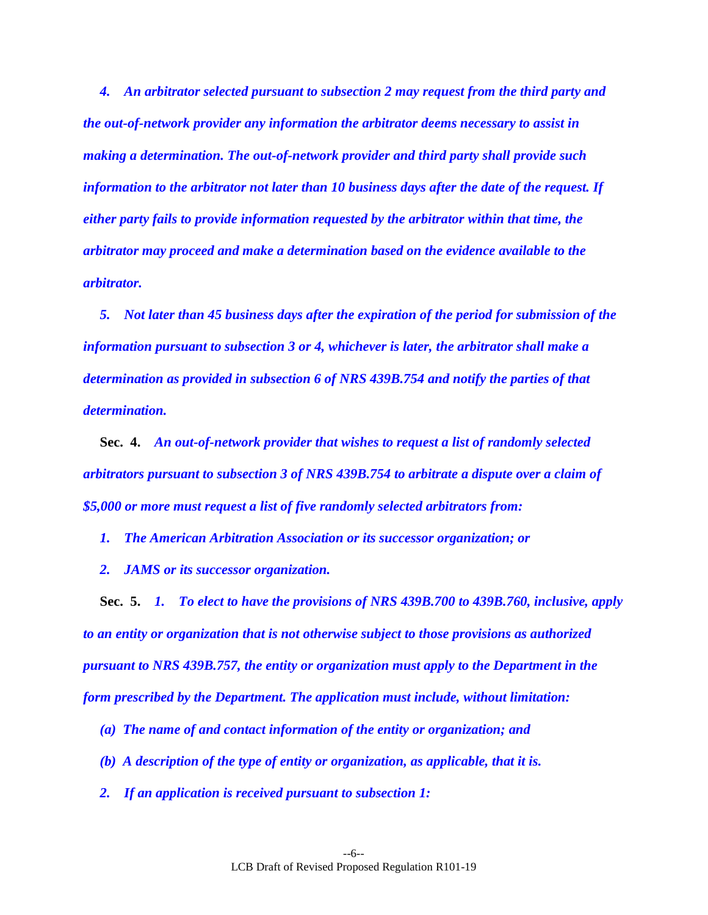*4. An arbitrator selected pursuant to subsection 2 may request from the third party and the out-of-network provider any information the arbitrator deems necessary to assist in making a determination. The out-of-network provider and third party shall provide such information to the arbitrator not later than 10 business days after the date of the request. If either party fails to provide information requested by the arbitrator within that time, the arbitrator may proceed and make a determination based on the evidence available to the arbitrator.*

*5. Not later than 45 business days after the expiration of the period for submission of the information pursuant to subsection 3 or 4, whichever is later, the arbitrator shall make a determination as provided in subsection 6 of NRS 439B.754 and notify the parties of that determination.*

**Sec. 4.** *An out-of-network provider that wishes to request a list of randomly selected arbitrators pursuant to subsection 3 of NRS 439B.754 to arbitrate a dispute over a claim of \$5,000 or more must request a list of five randomly selected arbitrators from:*

*1. The American Arbitration Association or its successor organization; or*

*2. JAMS or its successor organization.*

**Sec. 5.** *1. To elect to have the provisions of NRS 439B.700 to 439B.760, inclusive, apply to an entity or organization that is not otherwise subject to those provisions as authorized pursuant to NRS 439B.757, the entity or organization must apply to the Department in the form prescribed by the Department. The application must include, without limitation:*

*(a) The name of and contact information of the entity or organization; and*

*(b) A description of the type of entity or organization, as applicable, that it is.*

*2. If an application is received pursuant to subsection 1:*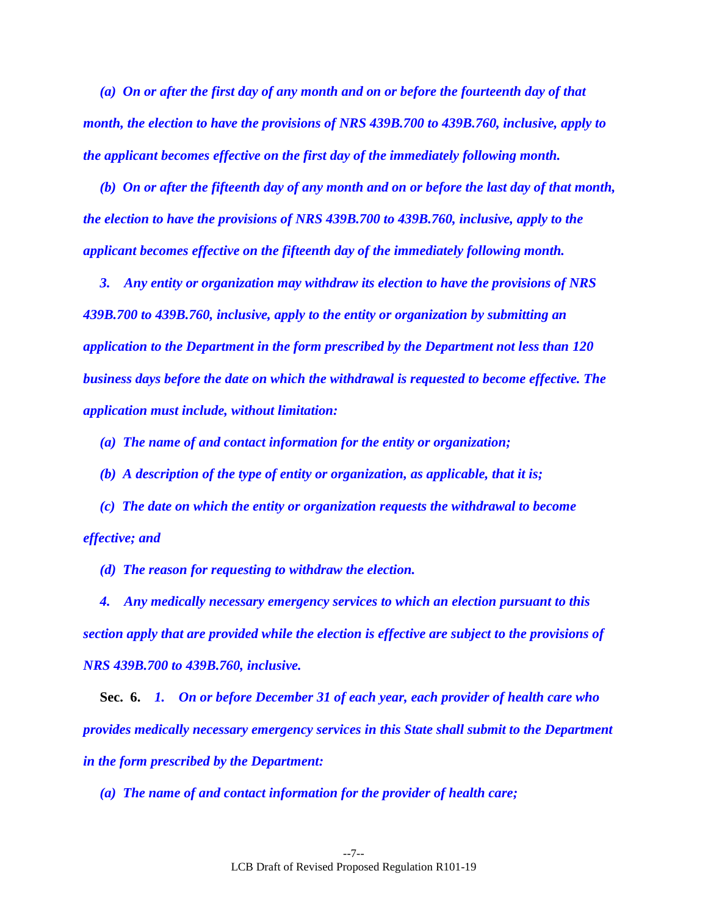*(a) On or after the first day of any month and on or before the fourteenth day of that month, the election to have the provisions of NRS 439B.700 to 439B.760, inclusive, apply to the applicant becomes effective on the first day of the immediately following month.*

*(b) On or after the fifteenth day of any month and on or before the last day of that month, the election to have the provisions of NRS 439B.700 to 439B.760, inclusive, apply to the applicant becomes effective on the fifteenth day of the immediately following month.* 

*3. Any entity or organization may withdraw its election to have the provisions of NRS 439B.700 to 439B.760, inclusive, apply to the entity or organization by submitting an application to the Department in the form prescribed by the Department not less than 120 business days before the date on which the withdrawal is requested to become effective. The application must include, without limitation:*

*(a) The name of and contact information for the entity or organization;*

*(b) A description of the type of entity or organization, as applicable, that it is;*

*(c) The date on which the entity or organization requests the withdrawal to become effective; and*

*(d) The reason for requesting to withdraw the election.*

*4. Any medically necessary emergency services to which an election pursuant to this section apply that are provided while the election is effective are subject to the provisions of NRS 439B.700 to 439B.760, inclusive.*

**Sec. 6.** *1. On or before December 31 of each year, each provider of health care who provides medically necessary emergency services in this State shall submit to the Department in the form prescribed by the Department:*

*(a) The name of and contact information for the provider of health care;*